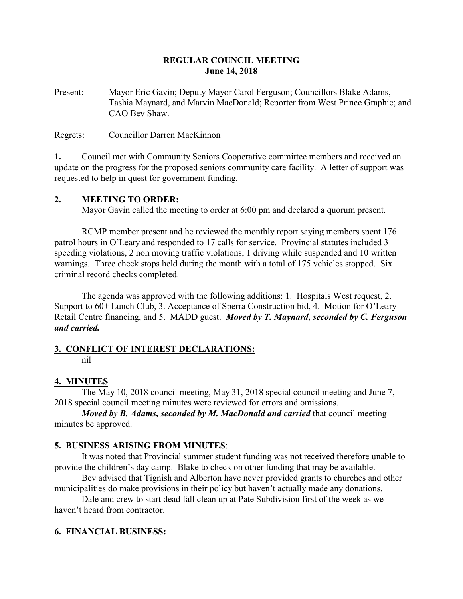## **REGULAR COUNCIL MEETING June 14, 2018**

Present: Mayor Eric Gavin; Deputy Mayor Carol Ferguson; Councillors Blake Adams, Tashia Maynard, and Marvin MacDonald; Reporter from West Prince Graphic; and CAO Bev Shaw.

Regrets: Councillor Darren MacKinnon

**1.** Council met with Community Seniors Cooperative committee members and received an update on the progress for the proposed seniors community care facility. A letter of support was requested to help in quest for government funding.

## **2. MEETING TO ORDER:**

Mayor Gavin called the meeting to order at 6:00 pm and declared a quorum present.

RCMP member present and he reviewed the monthly report saying members spent 176 patrol hours in O'Leary and responded to 17 calls for service. Provincial statutes included 3 speeding violations, 2 non moving traffic violations, 1 driving while suspended and 10 written warnings. Three check stops held during the month with a total of 175 vehicles stopped. Six criminal record checks completed.

The agenda was approved with the following additions: 1. Hospitals West request, 2. Support to 60+ Lunch Club, 3. Acceptance of Sperra Construction bid, 4. Motion for O'Leary Retail Centre financing, and 5. MADD guest. *Moved by T. Maynard, seconded by C. Ferguson and carried.*

# **3. CONFLICT OF INTEREST DECLARATIONS:**

nil

## **4. MINUTES**

The May 10, 2018 council meeting, May 31, 2018 special council meeting and June 7, 2018 special council meeting minutes were reviewed for errors and omissions.

*Moved by B. Adams, seconded by M. MacDonald and carried* that council meeting minutes be approved.

# **5. BUSINESS ARISING FROM MINUTES**:

It was noted that Provincial summer student funding was not received therefore unable to provide the children's day camp. Blake to check on other funding that may be available.

Bev advised that Tignish and Alberton have never provided grants to churches and other municipalities do make provisions in their policy but haven't actually made any donations.

Dale and crew to start dead fall clean up at Pate Subdivision first of the week as we haven't heard from contractor.

# **6. FINANCIAL BUSINESS:**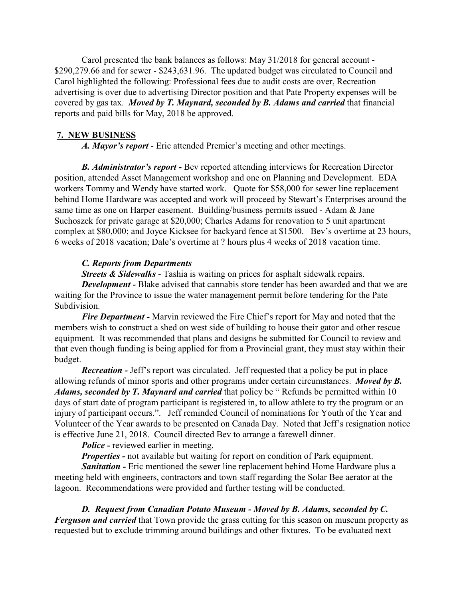Carol presented the bank balances as follows: May 31/2018 for general account - \$290,279.66 and for sewer - \$243,631.96. The updated budget was circulated to Council and Carol highlighted the following: Professional fees due to audit costs are over, Recreation advertising is over due to advertising Director position and that Pate Property expenses will be covered by gas tax. *Moved by T. Maynard, seconded by B. Adams and carried* that financial reports and paid bills for May, 2018 be approved.

#### **7. NEW BUSINESS**

*A. Mayor's report* - Eric attended Premier's meeting and other meetings.

*B. Administrator's report -* Bev reported attending interviews for Recreation Director position, attended Asset Management workshop and one on Planning and Development. EDA workers Tommy and Wendy have started work. Quote for \$58,000 for sewer line replacement behind Home Hardware was accepted and work will proceed by Stewart's Enterprises around the same time as one on Harper easement. Building/business permits issued - Adam & Jane Suchoszek for private garage at \$20,000; Charles Adams for renovation to 5 unit apartment complex at \$80,000; and Joyce Kicksee for backyard fence at \$1500. Bev's overtime at 23 hours, 6 weeks of 2018 vacation; Dale's overtime at ? hours plus 4 weeks of 2018 vacation time.

## *C. Reports from Departments*

*Streets & Sidewalks* - Tashia is waiting on prices for asphalt sidewalk repairs. *Development* - Blake advised that cannabis store tender has been awarded and that we are waiting for the Province to issue the water management permit before tendering for the Pate Subdivision.

*Fire Department -* Marvin reviewed the Fire Chief's report for May and noted that the members wish to construct a shed on west side of building to house their gator and other rescue equipment. It was recommended that plans and designs be submitted for Council to review and that even though funding is being applied for from a Provincial grant, they must stay within their budget.

*Recreation -* Jeff's report was circulated. Jeff requested that a policy be put in place allowing refunds of minor sports and other programs under certain circumstances. *Moved by B. Adams, seconded by T. Maynard and carried* that policy be " Refunds be permitted within 10 days of start date of program participant is registered in, to allow athlete to try the program or an injury of participant occurs.". Jeff reminded Council of nominations for Youth of the Year and Volunteer of the Year awards to be presented on Canada Day. Noted that Jeff's resignation notice is effective June 21, 2018. Council directed Bev to arrange a farewell dinner.

*Police -* reviewed earlier in meeting.

*Properties -* not available but waiting for report on condition of Park equipment.

*Sanitation -* Eric mentioned the sewer line replacement behind Home Hardware plus a meeting held with engineers, contractors and town staff regarding the Solar Bee aerator at the lagoon. Recommendations were provided and further testing will be conducted.

## *D. Request from Canadian Potato Museum - Moved by B. Adams, seconded by C.*

*Ferguson and carried* that Town provide the grass cutting for this season on museum property as requested but to exclude trimming around buildings and other fixtures. To be evaluated next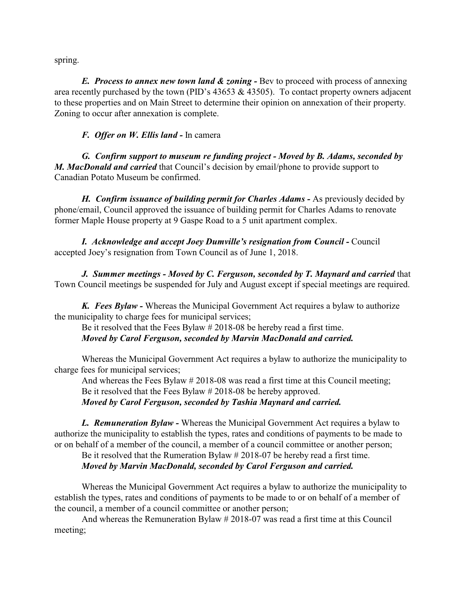spring.

*E. Process to annex new town land & zoning -* Bev to proceed with process of annexing area recently purchased by the town (PID's  $43653 \& 43505$ ). To contact property owners adjacent to these properties and on Main Street to determine their opinion on annexation of their property. Zoning to occur after annexation is complete.

#### *F. Offer on W. Ellis land -* In camera

*G. Confirm support to museum re funding project - Moved by B. Adams, seconded by M. MacDonald and carried* that Council's decision by email/phone to provide support to Canadian Potato Museum be confirmed.

*H. Confirm issuance of building permit for Charles Adams - As previously decided by* phone/email, Council approved the issuance of building permit for Charles Adams to renovate former Maple House property at 9 Gaspe Road to a 5 unit apartment complex.

*I. Acknowledge and accept Joey Dumville's resignation from Council -* Council accepted Joey's resignation from Town Council as of June 1, 2018.

*J. Summer meetings - Moved by C. Ferguson, seconded by T. Maynard and carried* that Town Council meetings be suspended for July and August except if special meetings are required.

*K. Fees Bylaw -* Whereas the Municipal Government Act requires a bylaw to authorize the municipality to charge fees for municipal services;

Be it resolved that the Fees Bylaw # 2018-08 be hereby read a first time. *Moved by Carol Ferguson, seconded by Marvin MacDonald and carried.*

Whereas the Municipal Government Act requires a bylaw to authorize the municipality to charge fees for municipal services;

And whereas the Fees Bylaw # 2018-08 was read a first time at this Council meeting; Be it resolved that the Fees Bylaw # 2018-08 be hereby approved. *Moved by Carol Ferguson, seconded by Tashia Maynard and carried.*

*L. Remuneration Bylaw -* Whereas the Municipal Government Act requires a bylaw to authorize the municipality to establish the types, rates and conditions of payments to be made to or on behalf of a member of the council, a member of a council committee or another person;

Be it resolved that the Rumeration Bylaw # 2018-07 be hereby read a first time. *Moved by Marvin MacDonald, seconded by Carol Ferguson and carried.*

Whereas the Municipal Government Act requires a bylaw to authorize the municipality to establish the types, rates and conditions of payments to be made to or on behalf of a member of the council, a member of a council committee or another person;

And whereas the Remuneration Bylaw # 2018-07 was read a first time at this Council meeting;